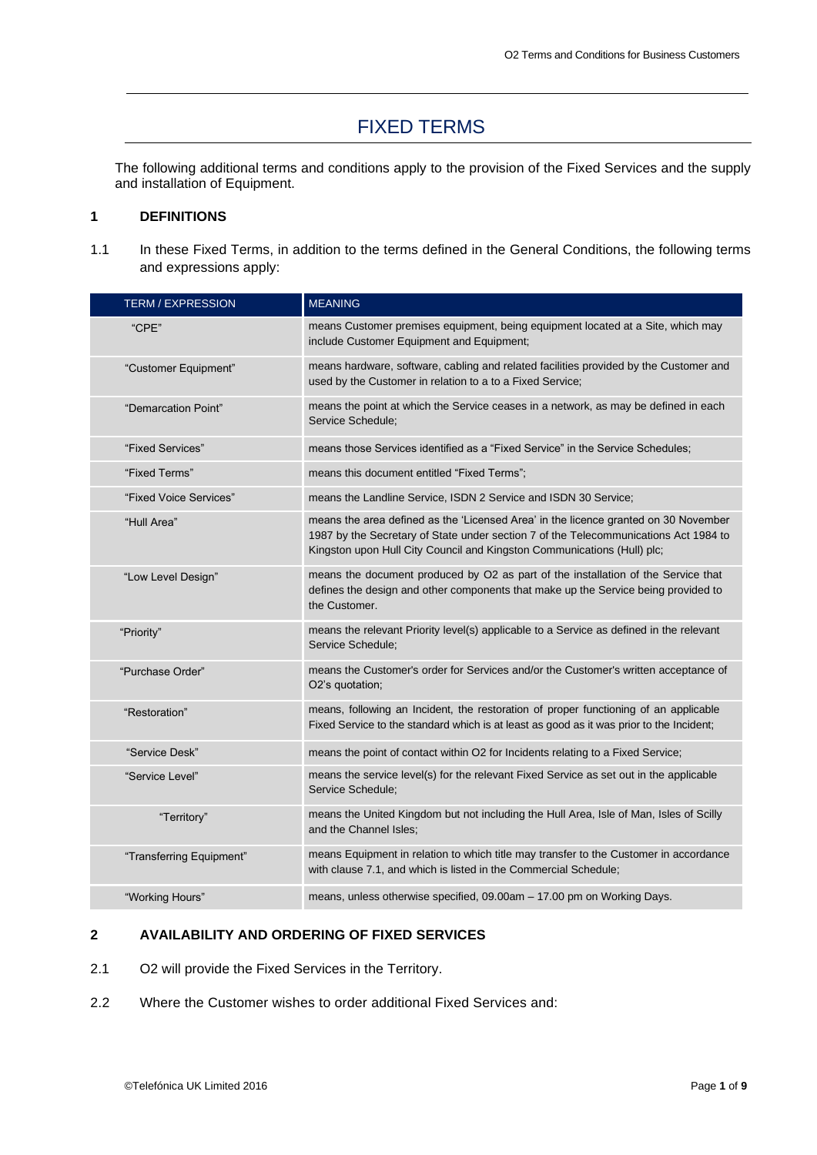# FIXED TERMS

The following additional terms and conditions apply to the provision of the Fixed Services and the supply and installation of Equipment.

#### **1 DEFINITIONS**

1.1 In these Fixed Terms, in addition to the terms defined in the General Conditions, the following terms and expressions apply:

| <b>TERM / EXPRESSION</b> | <b>MEANING</b>                                                                                                                                                                                                                                         |
|--------------------------|--------------------------------------------------------------------------------------------------------------------------------------------------------------------------------------------------------------------------------------------------------|
| "CPE"                    | means Customer premises equipment, being equipment located at a Site, which may<br>include Customer Equipment and Equipment;                                                                                                                           |
| "Customer Equipment"     | means hardware, software, cabling and related facilities provided by the Customer and<br>used by the Customer in relation to a to a Fixed Service;                                                                                                     |
| "Demarcation Point"      | means the point at which the Service ceases in a network, as may be defined in each<br>Service Schedule;                                                                                                                                               |
| "Fixed Services"         | means those Services identified as a "Fixed Service" in the Service Schedules:                                                                                                                                                                         |
| "Fixed Terms"            | means this document entitled "Fixed Terms";                                                                                                                                                                                                            |
| "Fixed Voice Services"   | means the Landline Service, ISDN 2 Service and ISDN 30 Service;                                                                                                                                                                                        |
| "Hull Area"              | means the area defined as the 'Licensed Area' in the licence granted on 30 November<br>1987 by the Secretary of State under section 7 of the Telecommunications Act 1984 to<br>Kingston upon Hull City Council and Kingston Communications (Hull) plc; |
| "Low Level Design"       | means the document produced by O2 as part of the installation of the Service that<br>defines the design and other components that make up the Service being provided to<br>the Customer.                                                               |
| "Priority"               | means the relevant Priority level(s) applicable to a Service as defined in the relevant<br>Service Schedule:                                                                                                                                           |
| "Purchase Order"         | means the Customer's order for Services and/or the Customer's written acceptance of<br>O2's quotation;                                                                                                                                                 |
| "Restoration"            | means, following an Incident, the restoration of proper functioning of an applicable<br>Fixed Service to the standard which is at least as good as it was prior to the Incident;                                                                       |
| "Service Desk"           | means the point of contact within O2 for Incidents relating to a Fixed Service;                                                                                                                                                                        |
| "Service Level"          | means the service level(s) for the relevant Fixed Service as set out in the applicable<br>Service Schedule:                                                                                                                                            |
| "Territory"              | means the United Kingdom but not including the Hull Area, Isle of Man, Isles of Scilly<br>and the Channel Isles:                                                                                                                                       |
| "Transferring Equipment" | means Equipment in relation to which title may transfer to the Customer in accordance<br>with clause 7.1, and which is listed in the Commercial Schedule;                                                                                              |
| "Working Hours"          | means, unless otherwise specified, 09.00am - 17.00 pm on Working Days.                                                                                                                                                                                 |

# **2 AVAILABILITY AND ORDERING OF FIXED SERVICES**

- 2.1 O2 will provide the Fixed Services in the Territory.
- 2.2 Where the Customer wishes to order additional Fixed Services and: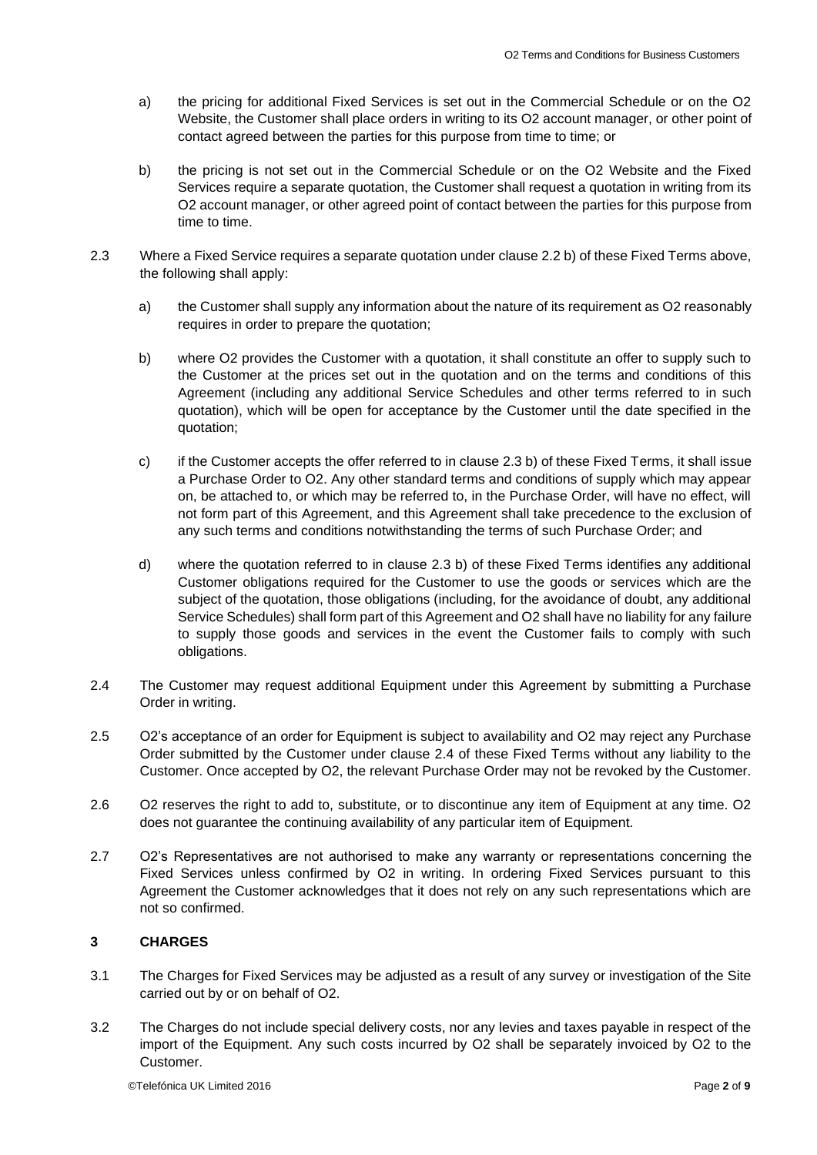- a) the pricing for additional Fixed Services is set out in the Commercial Schedule or on the O2 Website, the Customer shall place orders in writing to its O2 account manager, or other point of contact agreed between the parties for this purpose from time to time; or
- b) the pricing is not set out in the Commercial Schedule or on the O2 Website and the Fixed Services require a separate quotation, the Customer shall request a quotation in writing from its O2 account manager, or other agreed point of contact between the parties for this purpose from time to time.
- 2.3 Where a Fixed Service requires a separate quotation under clause 2.2 b) of these Fixed Terms above, the following shall apply:
	- a) the Customer shall supply any information about the nature of its requirement as O2 reasonably requires in order to prepare the quotation;
	- b) where O2 provides the Customer with a quotation, it shall constitute an offer to supply such to the Customer at the prices set out in the quotation and on the terms and conditions of this Agreement (including any additional Service Schedules and other terms referred to in such quotation), which will be open for acceptance by the Customer until the date specified in the quotation;
	- c) if the Customer accepts the offer referred to in clause 2.3 b) of these Fixed Terms, it shall issue a Purchase Order to O2. Any other standard terms and conditions of supply which may appear on, be attached to, or which may be referred to, in the Purchase Order, will have no effect, will not form part of this Agreement, and this Agreement shall take precedence to the exclusion of any such terms and conditions notwithstanding the terms of such Purchase Order; and
	- d) where the quotation referred to in clause 2.3 b) of these Fixed Terms identifies any additional Customer obligations required for the Customer to use the goods or services which are the subject of the quotation, those obligations (including, for the avoidance of doubt, any additional Service Schedules) shall form part of this Agreement and O2 shall have no liability for any failure to supply those goods and services in the event the Customer fails to comply with such obligations.
- 2.4 The Customer may request additional Equipment under this Agreement by submitting a Purchase Order in writing.
- 2.5 O2's acceptance of an order for Equipment is subject to availability and O2 may reject any Purchase Order submitted by the Customer under clause 2.4 of these Fixed Terms without any liability to the Customer. Once accepted by O2, the relevant Purchase Order may not be revoked by the Customer.
- 2.6 O2 reserves the right to add to, substitute, or to discontinue any item of Equipment at any time. O2 does not guarantee the continuing availability of any particular item of Equipment.
- 2.7 O2's Representatives are not authorised to make any warranty or representations concerning the Fixed Services unless confirmed by O2 in writing. In ordering Fixed Services pursuant to this Agreement the Customer acknowledges that it does not rely on any such representations which are not so confirmed.

# **3 CHARGES**

- 3.1 The Charges for Fixed Services may be adjusted as a result of any survey or investigation of the Site carried out by or on behalf of O2.
- 3.2 The Charges do not include special delivery costs, nor any levies and taxes payable in respect of the import of the Equipment. Any such costs incurred by O2 shall be separately invoiced by O2 to the Customer.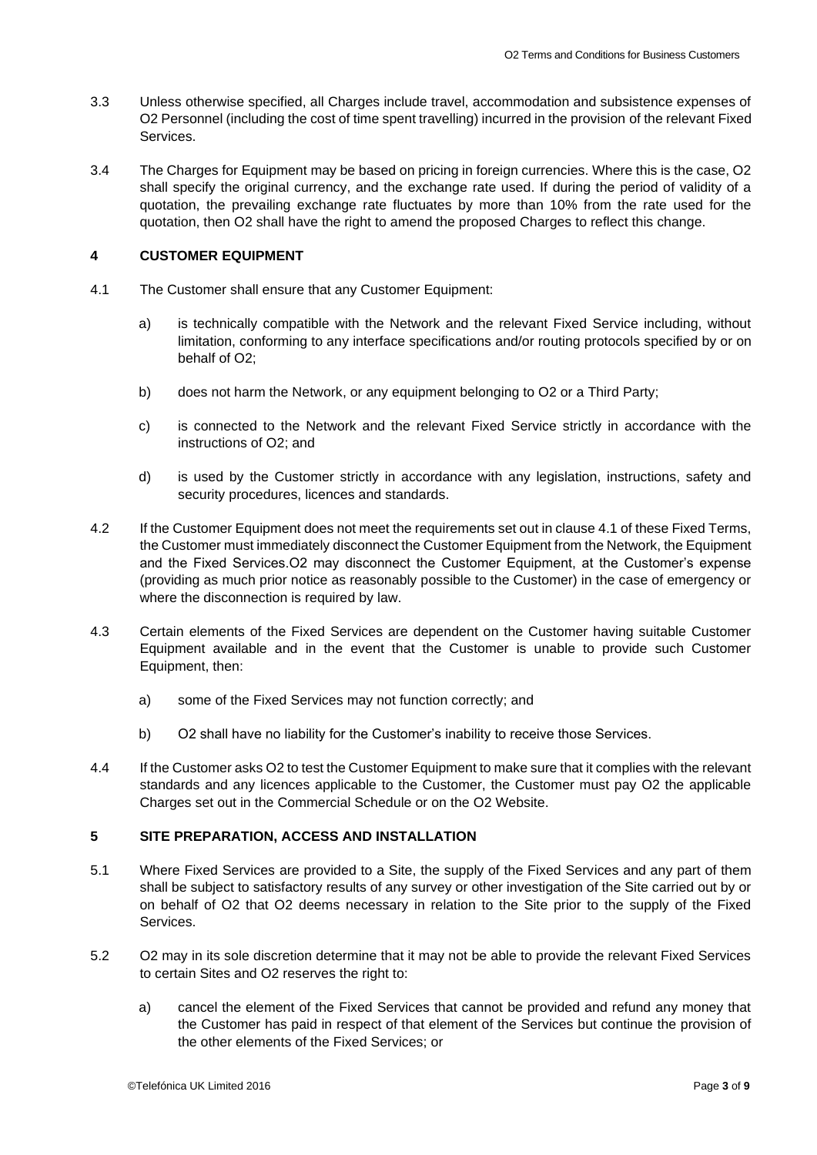- 3.3 Unless otherwise specified, all Charges include travel, accommodation and subsistence expenses of O2 Personnel (including the cost of time spent travelling) incurred in the provision of the relevant Fixed Services.
- 3.4 The Charges for Equipment may be based on pricing in foreign currencies. Where this is the case, O2 shall specify the original currency, and the exchange rate used. If during the period of validity of a quotation, the prevailing exchange rate fluctuates by more than 10% from the rate used for the quotation, then O2 shall have the right to amend the proposed Charges to reflect this change.

# **4 CUSTOMER EQUIPMENT**

- 4.1 The Customer shall ensure that any Customer Equipment:
	- a) is technically compatible with the Network and the relevant Fixed Service including, without limitation, conforming to any interface specifications and/or routing protocols specified by or on behalf of O2;
	- b) does not harm the Network, or any equipment belonging to O2 or a Third Party;
	- c) is connected to the Network and the relevant Fixed Service strictly in accordance with the instructions of O2; and
	- d) is used by the Customer strictly in accordance with any legislation, instructions, safety and security procedures, licences and standards.
- 4.2 If the Customer Equipment does not meet the requirements set out in clause 4.1 of these Fixed Terms, the Customer must immediately disconnect the Customer Equipment from the Network, the Equipment and the Fixed Services.O2 may disconnect the Customer Equipment, at the Customer's expense (providing as much prior notice as reasonably possible to the Customer) in the case of emergency or where the disconnection is required by law.
- 4.3 Certain elements of the Fixed Services are dependent on the Customer having suitable Customer Equipment available and in the event that the Customer is unable to provide such Customer Equipment, then:
	- a) some of the Fixed Services may not function correctly; and
	- b) O2 shall have no liability for the Customer's inability to receive those Services.
- 4.4 If the Customer asks O2 to test the Customer Equipment to make sure that it complies with the relevant standards and any licences applicable to the Customer, the Customer must pay O2 the applicable Charges set out in the Commercial Schedule or on the O2 Website.

# **5 SITE PREPARATION, ACCESS AND INSTALLATION**

- 5.1 Where Fixed Services are provided to a Site, the supply of the Fixed Services and any part of them shall be subject to satisfactory results of any survey or other investigation of the Site carried out by or on behalf of O2 that O2 deems necessary in relation to the Site prior to the supply of the Fixed **Services**
- 5.2 O2 may in its sole discretion determine that it may not be able to provide the relevant Fixed Services to certain Sites and O2 reserves the right to:
	- a) cancel the element of the Fixed Services that cannot be provided and refund any money that the Customer has paid in respect of that element of the Services but continue the provision of the other elements of the Fixed Services; or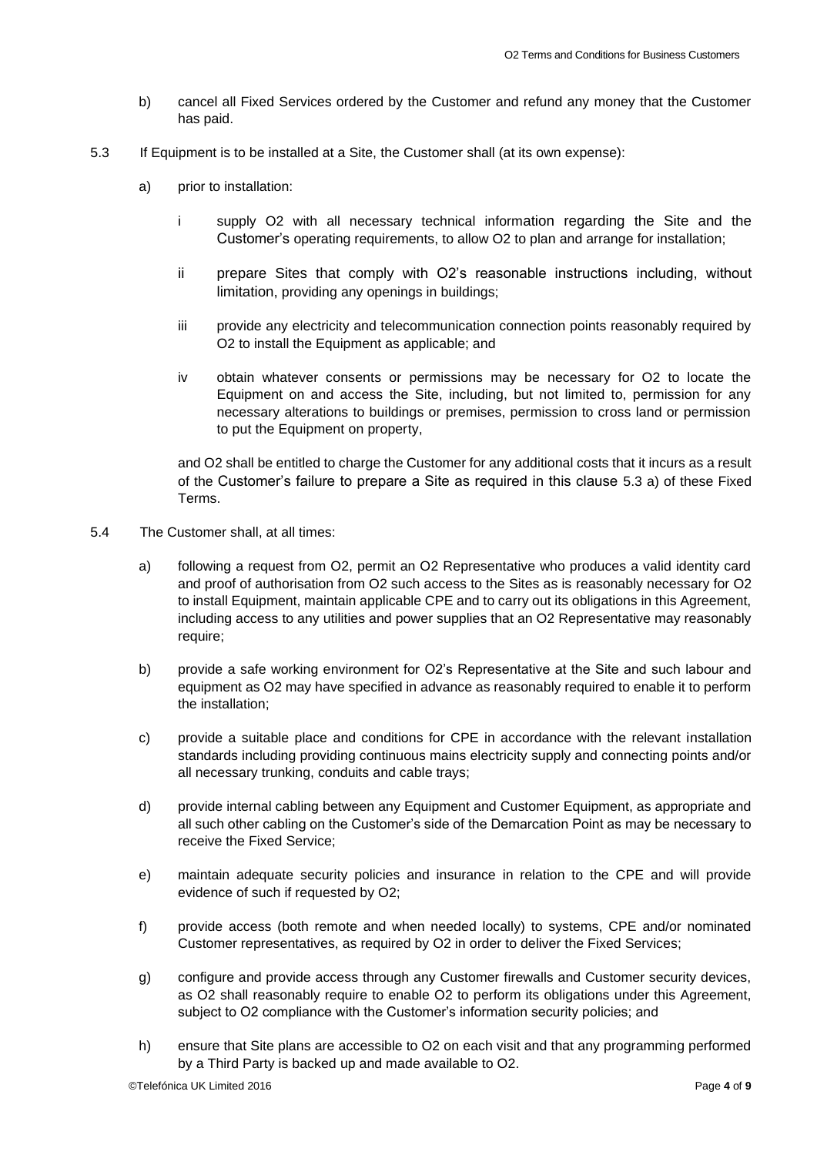- b) cancel all Fixed Services ordered by the Customer and refund any money that the Customer has paid.
- 5.3 If Equipment is to be installed at a Site, the Customer shall (at its own expense):
	- a) prior to installation:
		- i supply O2 with all necessary technical information regarding the Site and the Customer's operating requirements, to allow O2 to plan and arrange for installation;
		- ii prepare Sites that comply with O2's reasonable instructions including, without limitation, providing any openings in buildings;
		- iii provide any electricity and telecommunication connection points reasonably required by O2 to install the Equipment as applicable; and
		- iv obtain whatever consents or permissions may be necessary for O2 to locate the Equipment on and access the Site, including, but not limited to, permission for any necessary alterations to buildings or premises, permission to cross land or permission to put the Equipment on property,

and O2 shall be entitled to charge the Customer for any additional costs that it incurs as a result of the Customer's failure to prepare a Site as required in this clause 5.3 a) of these Fixed Terms.

- 5.4 The Customer shall, at all times:
	- a) following a request from O2, permit an O2 Representative who produces a valid identity card and proof of authorisation from O2 such access to the Sites as is reasonably necessary for O2 to install Equipment, maintain applicable CPE and to carry out its obligations in this Agreement, including access to any utilities and power supplies that an O2 Representative may reasonably require;
	- b) provide a safe working environment for O2's Representative at the Site and such labour and equipment as O2 may have specified in advance as reasonably required to enable it to perform the installation;
	- c) provide a suitable place and conditions for CPE in accordance with the relevant installation standards including providing continuous mains electricity supply and connecting points and/or all necessary trunking, conduits and cable trays;
	- d) provide internal cabling between any Equipment and Customer Equipment, as appropriate and all such other cabling on the Customer's side of the Demarcation Point as may be necessary to receive the Fixed Service;
	- e) maintain adequate security policies and insurance in relation to the CPE and will provide evidence of such if requested by O2;
	- f) provide access (both remote and when needed locally) to systems, CPE and/or nominated Customer representatives, as required by O2 in order to deliver the Fixed Services;
	- g) configure and provide access through any Customer firewalls and Customer security devices, as O2 shall reasonably require to enable O2 to perform its obligations under this Agreement, subject to O2 compliance with the Customer's information security policies; and
	- h) ensure that Site plans are accessible to O2 on each visit and that any programming performed by a Third Party is backed up and made available to O2.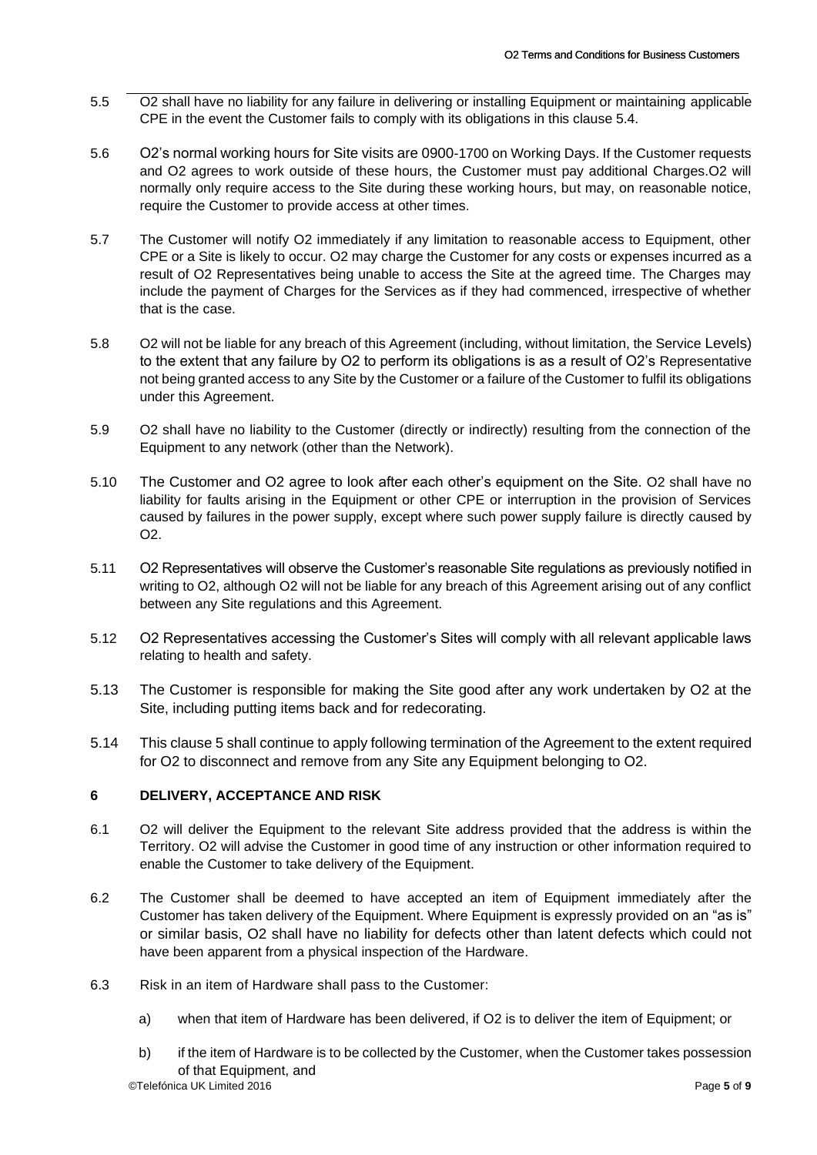- 5.5 O2 shall have no liability for any failure in delivering or installing Equipment or maintaining applicable CPE in the event the Customer fails to comply with its obligations in this clause 5.4.
- 5.6 O2's normal working hours for Site visits are 0900-1700 on Working Days. If the Customer requests and O2 agrees to work outside of these hours, the Customer must pay additional Charges.O2 will normally only require access to the Site during these working hours, but may, on reasonable notice, require the Customer to provide access at other times.
- 5.7 The Customer will notify O2 immediately if any limitation to reasonable access to Equipment, other CPE or a Site is likely to occur. O2 may charge the Customer for any costs or expenses incurred as a result of O2 Representatives being unable to access the Site at the agreed time. The Charges may include the payment of Charges for the Services as if they had commenced, irrespective of whether that is the case.
- 5.8 O2 will not be liable for any breach of this Agreement (including, without limitation, the Service Levels) to the extent that any failure by O2 to perform its obligations is as a result of O2's Representative not being granted access to any Site by the Customer or a failure of the Customer to fulfil its obligations under this Agreement.
- 5.9 O2 shall have no liability to the Customer (directly or indirectly) resulting from the connection of the Equipment to any network (other than the Network).
- 5.10 The Customer and O2 agree to look after each other's equipment on the Site. O2 shall have no liability for faults arising in the Equipment or other CPE or interruption in the provision of Services caused by failures in the power supply, except where such power supply failure is directly caused by O2.
- 5.11 O2 Representatives will observe the Customer's reasonable Site regulations as previously notified in writing to O2, although O2 will not be liable for any breach of this Agreement arising out of any conflict between any Site regulations and this Agreement.
- 5.12 O2 Representatives accessing the Customer's Sites will comply with all relevant applicable laws relating to health and safety.
- 5.13 The Customer is responsible for making the Site good after any work undertaken by O2 at the Site, including putting items back and for redecorating.
- 5.14 This clause 5 shall continue to apply following termination of the Agreement to the extent required for O2 to disconnect and remove from any Site any Equipment belonging to O2.

# **6 DELIVERY, ACCEPTANCE AND RISK**

- 6.1 O2 will deliver the Equipment to the relevant Site address provided that the address is within the Territory. O2 will advise the Customer in good time of any instruction or other information required to enable the Customer to take delivery of the Equipment.
- 6.2 The Customer shall be deemed to have accepted an item of Equipment immediately after the Customer has taken delivery of the Equipment. Where Equipment is expressly provided on an "as is" or similar basis, O2 shall have no liability for defects other than latent defects which could not have been apparent from a physical inspection of the Hardware.
- 6.3 Risk in an item of Hardware shall pass to the Customer:
	- a) when that item of Hardware has been delivered, if O2 is to deliver the item of Equipment; or
	- b) if the item of Hardware is to be collected by the Customer, when the Customer takes possession of that Equipment, and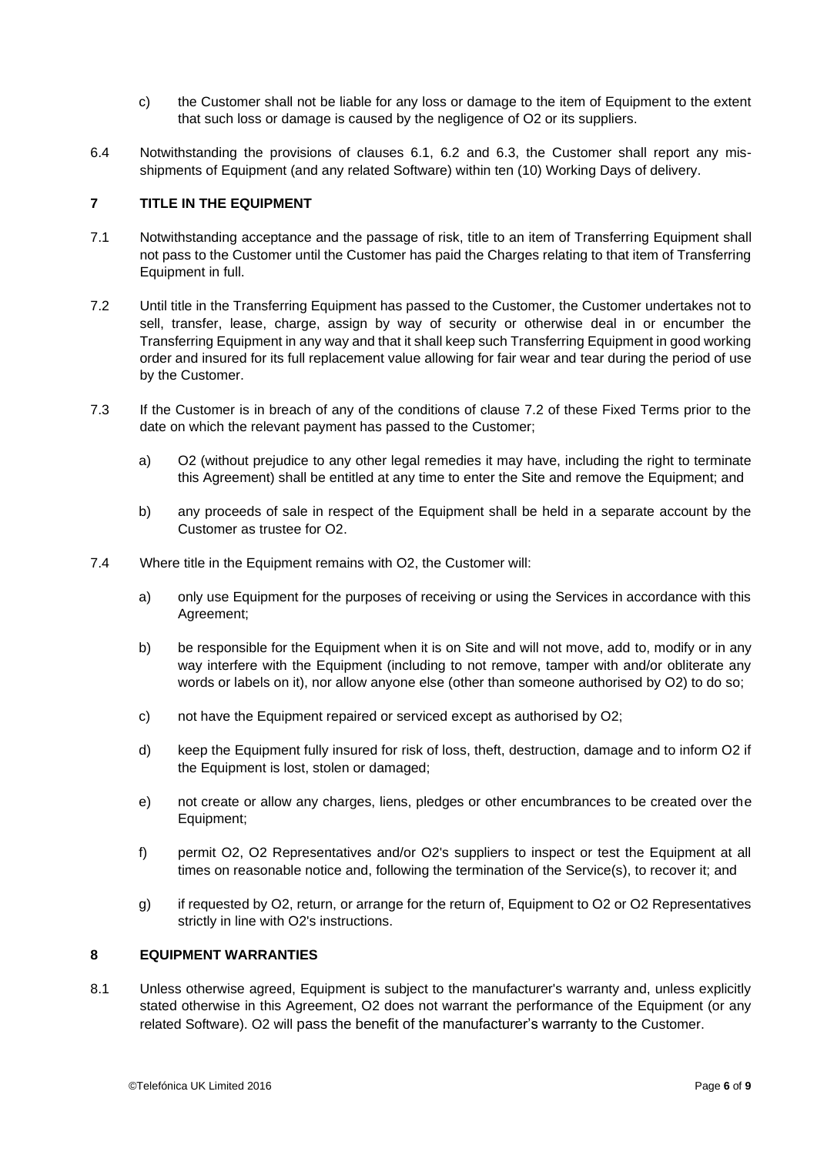- c) the Customer shall not be liable for any loss or damage to the item of Equipment to the extent that such loss or damage is caused by the negligence of O2 or its suppliers.
- 6.4 Notwithstanding the provisions of clauses 6.1, 6.2 and 6.3, the Customer shall report any misshipments of Equipment (and any related Software) within ten (10) Working Days of delivery.

#### **7 TITLE IN THE EQUIPMENT**

- 7.1 Notwithstanding acceptance and the passage of risk, title to an item of Transferring Equipment shall not pass to the Customer until the Customer has paid the Charges relating to that item of Transferring Equipment in full.
- 7.2 Until title in the Transferring Equipment has passed to the Customer, the Customer undertakes not to sell, transfer, lease, charge, assign by way of security or otherwise deal in or encumber the Transferring Equipment in any way and that it shall keep such Transferring Equipment in good working order and insured for its full replacement value allowing for fair wear and tear during the period of use by the Customer.
- 7.3 If the Customer is in breach of any of the conditions of clause 7.2 of these Fixed Terms prior to the date on which the relevant payment has passed to the Customer;
	- a) O2 (without prejudice to any other legal remedies it may have, including the right to terminate this Agreement) shall be entitled at any time to enter the Site and remove the Equipment; and
	- b) any proceeds of sale in respect of the Equipment shall be held in a separate account by the Customer as trustee for O2.
- 7.4 Where title in the Equipment remains with O2, the Customer will:
	- a) only use Equipment for the purposes of receiving or using the Services in accordance with this Agreement;
	- b) be responsible for the Equipment when it is on Site and will not move, add to, modify or in any way interfere with the Equipment (including to not remove, tamper with and/or obliterate any words or labels on it), nor allow anyone else (other than someone authorised by O2) to do so;
	- c) not have the Equipment repaired or serviced except as authorised by O2;
	- d) keep the Equipment fully insured for risk of loss, theft, destruction, damage and to inform O2 if the Equipment is lost, stolen or damaged;
	- e) not create or allow any charges, liens, pledges or other encumbrances to be created over the Equipment;
	- f) permit O2, O2 Representatives and/or O2's suppliers to inspect or test the Equipment at all times on reasonable notice and, following the termination of the Service(s), to recover it; and
	- g) if requested by O2, return, or arrange for the return of, Equipment to O2 or O2 Representatives strictly in line with O2's instructions.

#### **8 EQUIPMENT WARRANTIES**

8.1 Unless otherwise agreed, Equipment is subject to the manufacturer's warranty and, unless explicitly stated otherwise in this Agreement, O2 does not warrant the performance of the Equipment (or any related Software). O2 will pass the benefit of the manufacturer's warranty to the Customer.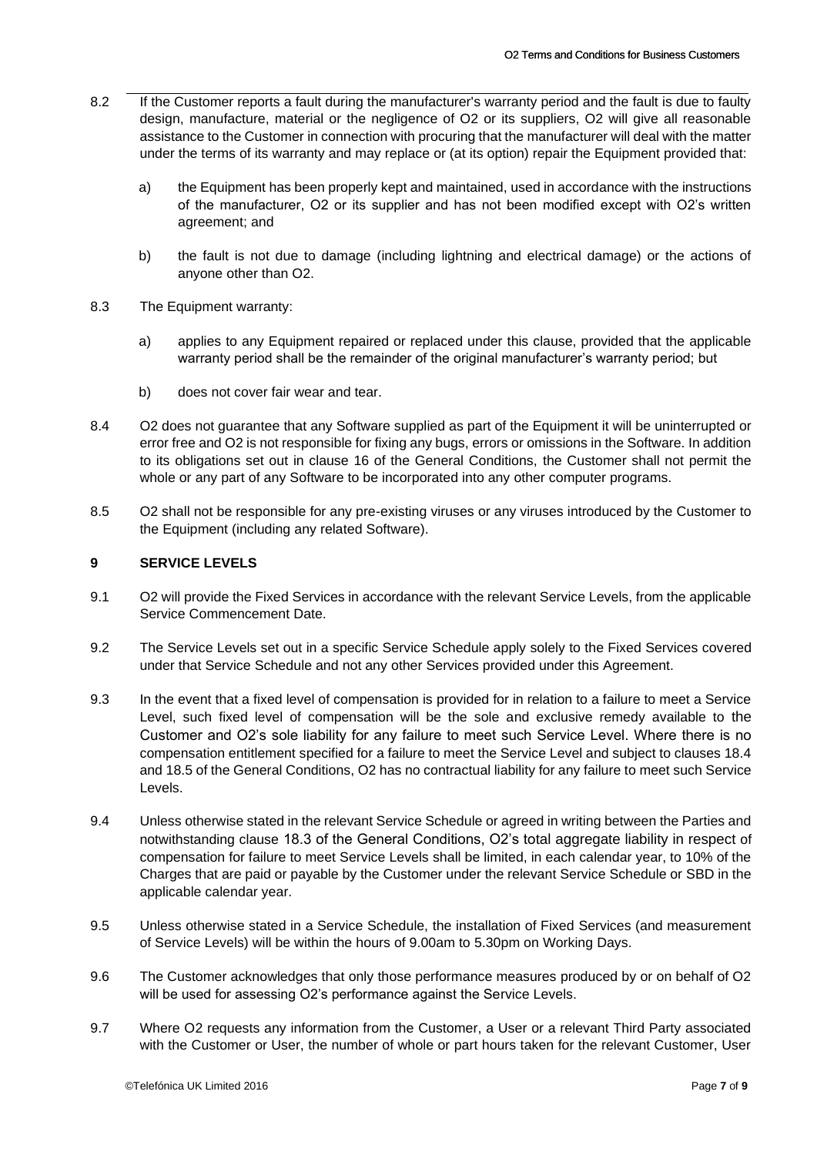- 8.2 If the Customer reports a fault during the manufacturer's warranty period and the fault is due to faulty design, manufacture, material or the negligence of O2 or its suppliers, O2 will give all reasonable assistance to the Customer in connection with procuring that the manufacturer will deal with the matter under the terms of its warranty and may replace or (at its option) repair the Equipment provided that:
	- a) the Equipment has been properly kept and maintained, used in accordance with the instructions of the manufacturer, O2 or its supplier and has not been modified except with O2's written agreement; and
	- b) the fault is not due to damage (including lightning and electrical damage) or the actions of anyone other than O2.
- 8.3 The Equipment warranty:
	- a) applies to any Equipment repaired or replaced under this clause, provided that the applicable warranty period shall be the remainder of the original manufacturer's warranty period; but
	- b) does not cover fair wear and tear.
- 8.4 O2 does not guarantee that any Software supplied as part of the Equipment it will be uninterrupted or error free and O2 is not responsible for fixing any bugs, errors or omissions in the Software. In addition to its obligations set out in clause 16 of the General Conditions, the Customer shall not permit the whole or any part of any Software to be incorporated into any other computer programs.
- 8.5 O2 shall not be responsible for any pre-existing viruses or any viruses introduced by the Customer to the Equipment (including any related Software).

#### **9 SERVICE LEVELS**

- 9.1 O2 will provide the Fixed Services in accordance with the relevant Service Levels, from the applicable Service Commencement Date.
- 9.2 The Service Levels set out in a specific Service Schedule apply solely to the Fixed Services covered under that Service Schedule and not any other Services provided under this Agreement.
- 9.3 In the event that a fixed level of compensation is provided for in relation to a failure to meet a Service Level, such fixed level of compensation will be the sole and exclusive remedy available to the Customer and O2's sole liability for any failure to meet such Service Level. Where there is no compensation entitlement specified for a failure to meet the Service Level and subject to clauses 18.4 and 18.5 of the General Conditions, O2 has no contractual liability for any failure to meet such Service Levels.
- 9.4 Unless otherwise stated in the relevant Service Schedule or agreed in writing between the Parties and notwithstanding clause 18.3 of the General Conditions, O2's total aggregate liability in respect of compensation for failure to meet Service Levels shall be limited, in each calendar year, to 10% of the Charges that are paid or payable by the Customer under the relevant Service Schedule or SBD in the applicable calendar year.
- 9.5 Unless otherwise stated in a Service Schedule, the installation of Fixed Services (and measurement of Service Levels) will be within the hours of 9.00am to 5.30pm on Working Days.
- 9.6 The Customer acknowledges that only those performance measures produced by or on behalf of O2 will be used for assessing O2's performance against the Service Levels.
- 9.7 Where O2 requests any information from the Customer, a User or a relevant Third Party associated with the Customer or User, the number of whole or part hours taken for the relevant Customer, User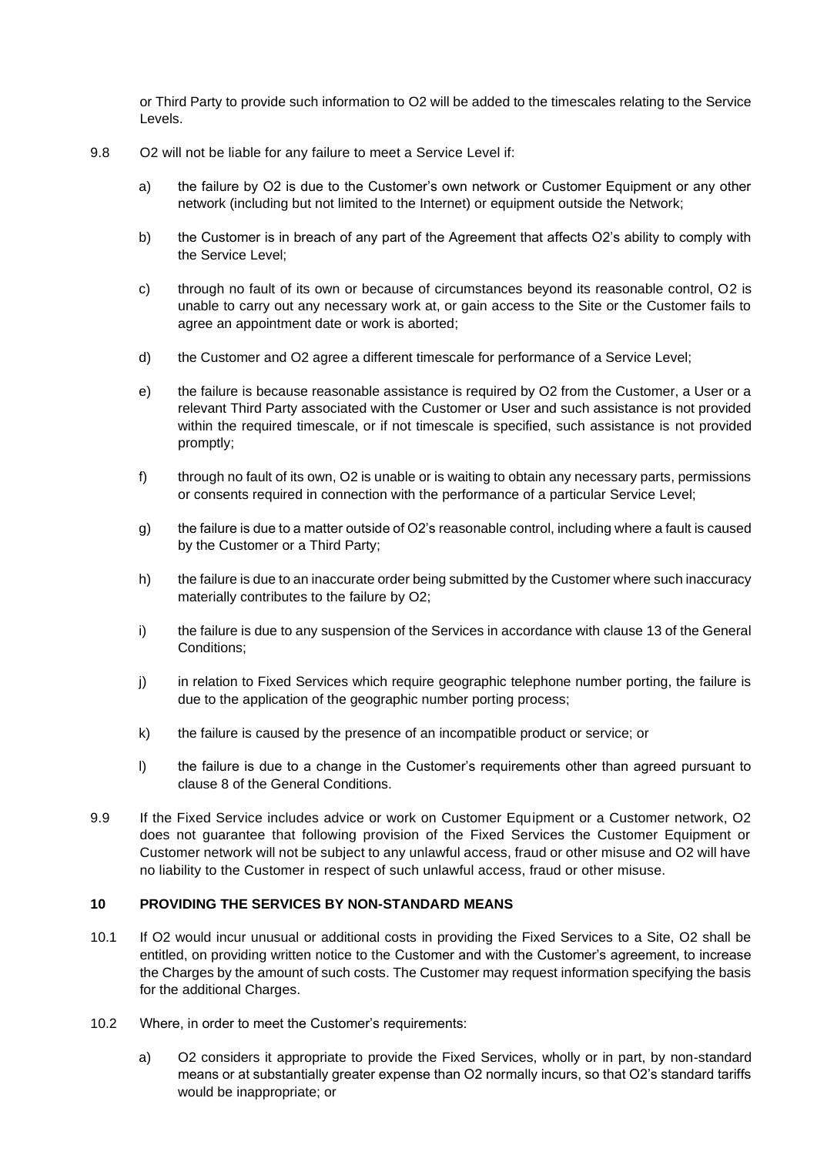or Third Party to provide such information to O2 will be added to the timescales relating to the Service Levels.

- 9.8 O2 will not be liable for any failure to meet a Service Level if:
	- a) the failure by O2 is due to the Customer's own network or Customer Equipment or any other network (including but not limited to the Internet) or equipment outside the Network;
	- b) the Customer is in breach of any part of the Agreement that affects O2's ability to comply with the Service Level;
	- c) through no fault of its own or because of circumstances beyond its reasonable control, O2 is unable to carry out any necessary work at, or gain access to the Site or the Customer fails to agree an appointment date or work is aborted;
	- d) the Customer and O2 agree a different timescale for performance of a Service Level;
	- e) the failure is because reasonable assistance is required by O2 from the Customer, a User or a relevant Third Party associated with the Customer or User and such assistance is not provided within the required timescale, or if not timescale is specified, such assistance is not provided promptly;
	- f) through no fault of its own, O2 is unable or is waiting to obtain any necessary parts, permissions or consents required in connection with the performance of a particular Service Level;
	- g) the failure is due to a matter outside of O2's reasonable control, including where a fault is caused by the Customer or a Third Party;
	- h) the failure is due to an inaccurate order being submitted by the Customer where such inaccuracy materially contributes to the failure by O2;
	- i) the failure is due to any suspension of the Services in accordance with clause 13 of the General Conditions;
	- j) in relation to Fixed Services which require geographic telephone number porting, the failure is due to the application of the geographic number porting process;
	- k) the failure is caused by the presence of an incompatible product or service; or
	- l) the failure is due to a change in the Customer's requirements other than agreed pursuant to clause 8 of the General Conditions.
- 9.9 If the Fixed Service includes advice or work on Customer Equipment or a Customer network, O2 does not guarantee that following provision of the Fixed Services the Customer Equipment or Customer network will not be subject to any unlawful access, fraud or other misuse and O2 will have no liability to the Customer in respect of such unlawful access, fraud or other misuse.

# **10 PROVIDING THE SERVICES BY NON-STANDARD MEANS**

- 10.1 If O2 would incur unusual or additional costs in providing the Fixed Services to a Site, O2 shall be entitled, on providing written notice to the Customer and with the Customer's agreement, to increase the Charges by the amount of such costs. The Customer may request information specifying the basis for the additional Charges.
- 10.2 Where, in order to meet the Customer's requirements:
	- a) O2 considers it appropriate to provide the Fixed Services, wholly or in part, by non-standard means or at substantially greater expense than O2 normally incurs, so that O2's standard tariffs would be inappropriate; or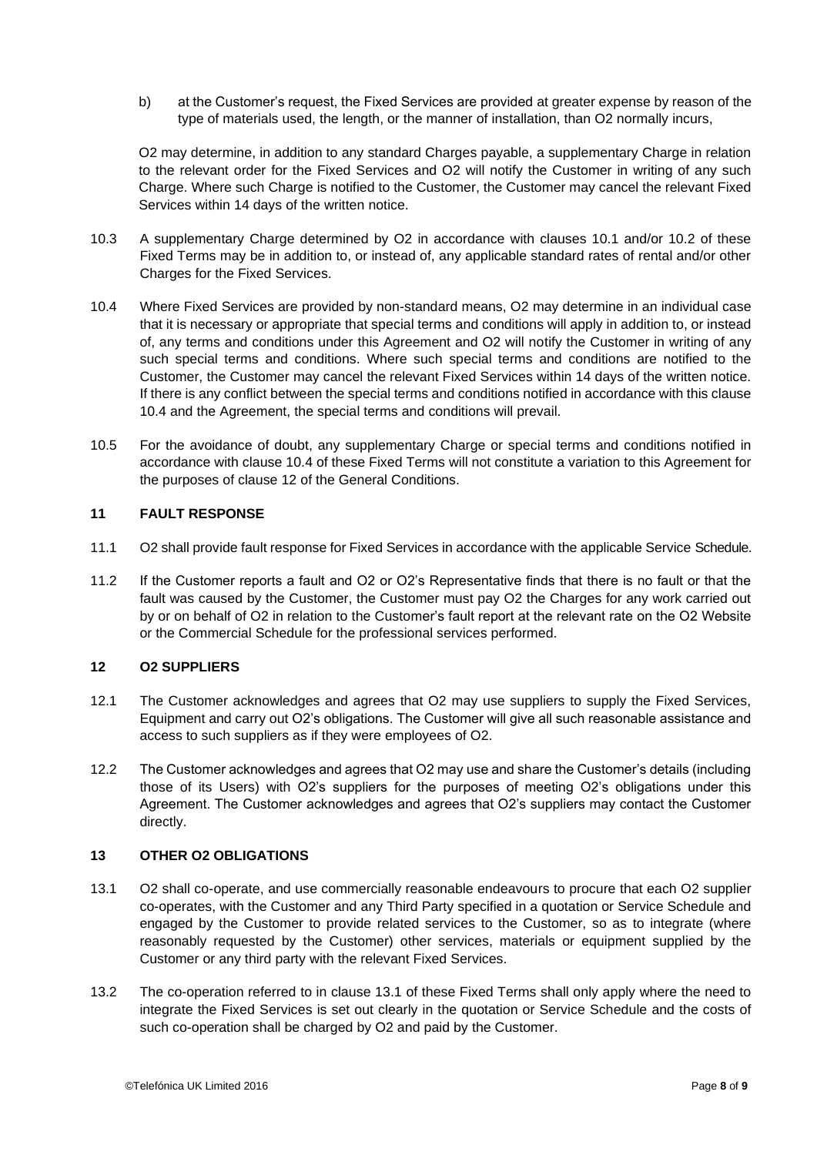b) at the Customer's request, the Fixed Services are provided at greater expense by reason of the type of materials used, the length, or the manner of installation, than O2 normally incurs,

O2 may determine, in addition to any standard Charges payable, a supplementary Charge in relation to the relevant order for the Fixed Services and O2 will notify the Customer in writing of any such Charge. Where such Charge is notified to the Customer, the Customer may cancel the relevant Fixed Services within 14 days of the written notice.

- 10.3 A supplementary Charge determined by O2 in accordance with clauses 10.1 and/or 10.2 of these Fixed Terms may be in addition to, or instead of, any applicable standard rates of rental and/or other Charges for the Fixed Services.
- 10.4 Where Fixed Services are provided by non-standard means, O2 may determine in an individual case that it is necessary or appropriate that special terms and conditions will apply in addition to, or instead of, any terms and conditions under this Agreement and O2 will notify the Customer in writing of any such special terms and conditions. Where such special terms and conditions are notified to the Customer, the Customer may cancel the relevant Fixed Services within 14 days of the written notice. If there is any conflict between the special terms and conditions notified in accordance with this clause 10.4 and the Agreement, the special terms and conditions will prevail.
- 10.5 For the avoidance of doubt, any supplementary Charge or special terms and conditions notified in accordance with clause 10.4 of these Fixed Terms will not constitute a variation to this Agreement for the purposes of clause 12 of the General Conditions.

# **11 FAULT RESPONSE**

- 11.1 O2 shall provide fault response for Fixed Services in accordance with the applicable Service Schedule.
- 11.2 If the Customer reports a fault and O2 or O2's Representative finds that there is no fault or that the fault was caused by the Customer, the Customer must pay O2 the Charges for any work carried out by or on behalf of O2 in relation to the Customer's fault report at the relevant rate on the O2 Website or the Commercial Schedule for the professional services performed.

# **12 O2 SUPPLIERS**

- 12.1 The Customer acknowledges and agrees that O2 may use suppliers to supply the Fixed Services, Equipment and carry out O2's obligations. The Customer will give all such reasonable assistance and access to such suppliers as if they were employees of O2.
- 12.2 The Customer acknowledges and agrees that O2 may use and share the Customer's details (including those of its Users) with O2's suppliers for the purposes of meeting O2's obligations under this Agreement. The Customer acknowledges and agrees that O2's suppliers may contact the Customer directly.

# **13 OTHER O2 OBLIGATIONS**

- 13.1 O2 shall co-operate, and use commercially reasonable endeavours to procure that each O2 supplier co-operates, with the Customer and any Third Party specified in a quotation or Service Schedule and engaged by the Customer to provide related services to the Customer, so as to integrate (where reasonably requested by the Customer) other services, materials or equipment supplied by the Customer or any third party with the relevant Fixed Services.
- 13.2 The co-operation referred to in clause 13.1 of these Fixed Terms shall only apply where the need to integrate the Fixed Services is set out clearly in the quotation or Service Schedule and the costs of such co-operation shall be charged by O2 and paid by the Customer.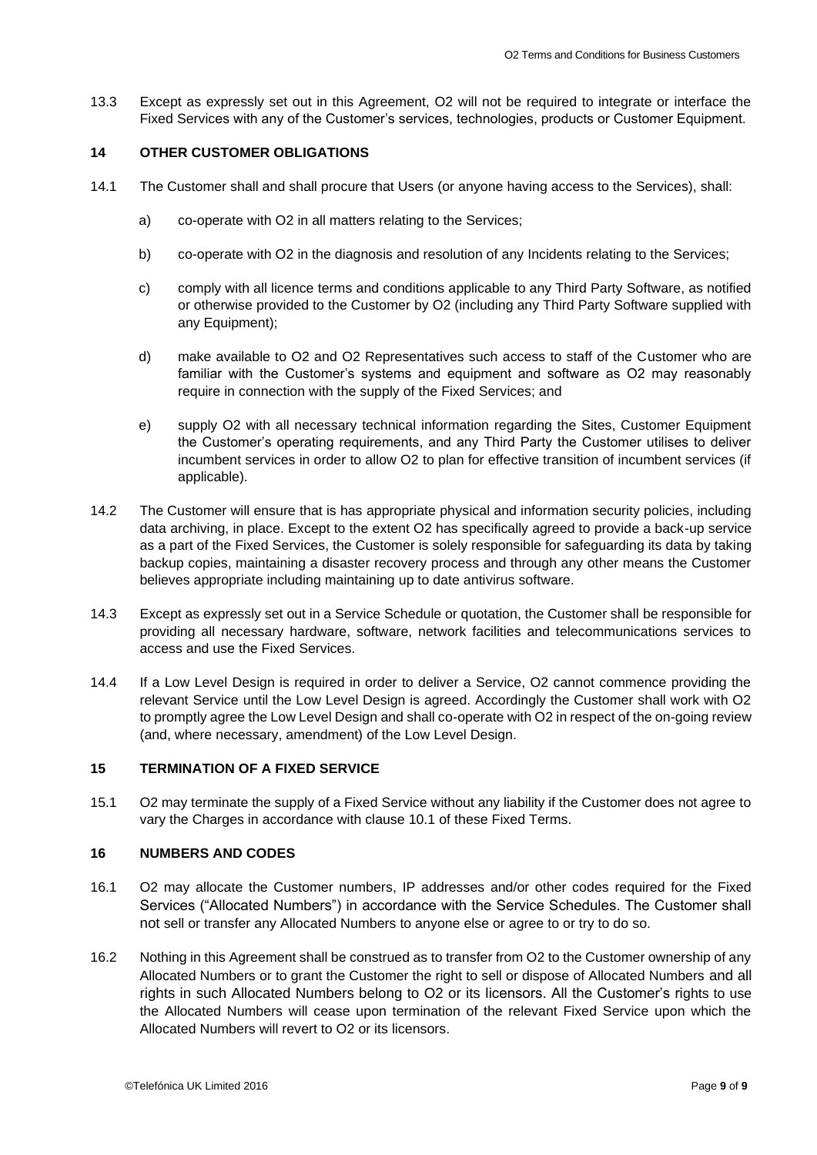13.3 Except as expressly set out in this Agreement, O2 will not be required to integrate or interface the Fixed Services with any of the Customer's services, technologies, products or Customer Equipment.

# **14 OTHER CUSTOMER OBLIGATIONS**

- 14.1 The Customer shall and shall procure that Users (or anyone having access to the Services), shall:
	- a) co-operate with O2 in all matters relating to the Services;
	- b) co-operate with O2 in the diagnosis and resolution of any Incidents relating to the Services;
	- c) comply with all licence terms and conditions applicable to any Third Party Software, as notified or otherwise provided to the Customer by O2 (including any Third Party Software supplied with any Equipment);
	- d) make available to O2 and O2 Representatives such access to staff of the Customer who are familiar with the Customer's systems and equipment and software as O2 may reasonably require in connection with the supply of the Fixed Services; and
	- e) supply O2 with all necessary technical information regarding the Sites, Customer Equipment the Customer's operating requirements, and any Third Party the Customer utilises to deliver incumbent services in order to allow O2 to plan for effective transition of incumbent services (if applicable).
- 14.2 The Customer will ensure that is has appropriate physical and information security policies, including data archiving, in place. Except to the extent O2 has specifically agreed to provide a back-up service as a part of the Fixed Services, the Customer is solely responsible for safeguarding its data by taking backup copies, maintaining a disaster recovery process and through any other means the Customer believes appropriate including maintaining up to date antivirus software.
- 14.3 Except as expressly set out in a Service Schedule or quotation, the Customer shall be responsible for providing all necessary hardware, software, network facilities and telecommunications services to access and use the Fixed Services.
- 14.4 If a Low Level Design is required in order to deliver a Service, O2 cannot commence providing the relevant Service until the Low Level Design is agreed. Accordingly the Customer shall work with O2 to promptly agree the Low Level Design and shall co-operate with O2 in respect of the on-going review (and, where necessary, amendment) of the Low Level Design.

# **15 TERMINATION OF A FIXED SERVICE**

15.1 O2 may terminate the supply of a Fixed Service without any liability if the Customer does not agree to vary the Charges in accordance with clause 10.1 of these Fixed Terms.

# **16 NUMBERS AND CODES**

- 16.1 O2 may allocate the Customer numbers, IP addresses and/or other codes required for the Fixed Services ("Allocated Numbers") in accordance with the Service Schedules. The Customer shall not sell or transfer any Allocated Numbers to anyone else or agree to or try to do so.
- 16.2 Nothing in this Agreement shall be construed as to transfer from O2 to the Customer ownership of any Allocated Numbers or to grant the Customer the right to sell or dispose of Allocated Numbers and all rights in such Allocated Numbers belong to O2 or its licensors. All the Customer's rights to use the Allocated Numbers will cease upon termination of the relevant Fixed Service upon which the Allocated Numbers will revert to O2 or its licensors.